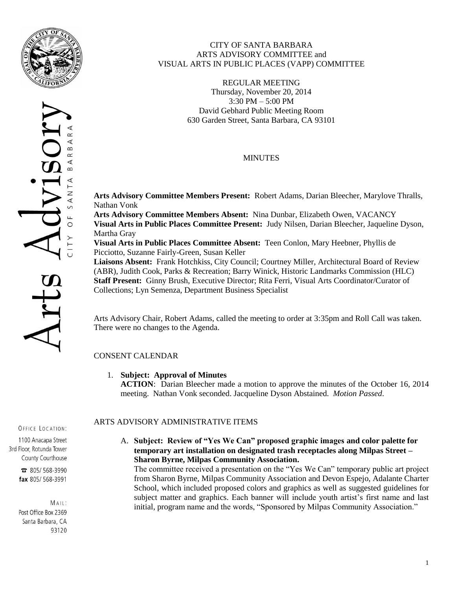



### CITY OF SANTA BARBARA ARTS ADVISORY COMMITTEE and VISUAL ARTS IN PUBLIC PLACES (VAPP) COMMITTEE

REGULAR MEETING Thursday, November 20, 2014 3:30 PM – 5:00 PM David Gebhard Public Meeting Room 630 Garden Street, Santa Barbara, CA 93101

## MINUTES

**Arts Advisory Committee Members Present:** Robert Adams, Darian Bleecher, Marylove Thralls, Nathan Vonk

**Arts Advisory Committee Members Absent:** Nina Dunbar, Elizabeth Owen, VACANCY **Visual Arts in Public Places Committee Present:** Judy Nilsen, Darian Bleecher, Jaqueline Dyson, Martha Gray

**Visual Arts in Public Places Committee Absent:** Teen Conlon, Mary Heebner, Phyllis de Picciotto, Suzanne Fairly-Green, Susan Keller

**Liaisons Absent:** Frank Hotchkiss, City Council; Courtney Miller, Architectural Board of Review (ABR), Judith Cook, Parks & Recreation; Barry Winick, Historic Landmarks Commission (HLC) **Staff Present:** Ginny Brush, Executive Director; Rita Ferri, Visual Arts Coordinator/Curator of Collections; Lyn Semenza, Department Business Specialist

Arts Advisory Chair, Robert Adams, called the meeting to order at 3:35pm and Roll Call was taken. There were no changes to the Agenda.

# CONSENT CALENDAR

## 1. **Subject: Approval of Minutes**

**ACTION**: Darian Bleecher made a motion to approve the minutes of the October 16, 2014 meeting. Nathan Vonk seconded. Jacqueline Dyson Abstained. *Motion Passed*.

#### OFFICE LOCATION:

1100 Anacapa Street 3rd Floor, Rotunda Tower County Courthouse

> **a** 805/568-3990 fax 805/568-3991

 $MAIL$ : Post Office Box 2369 Santa Barbara, CA 93120

## ARTS ADVISORY ADMINISTRATIVE ITEMS

A. **Subject: Review of "Yes We Can" proposed graphic images and color palette for temporary art installation on designated trash receptacles along Milpas Street – Sharon Byrne, Milpas Community Association.**

The committee received a presentation on the "Yes We Can" temporary public art project from Sharon Byrne, Milpas Community Association and Devon Espejo, Adalante Charter School, which included proposed colors and graphics as well as suggested guidelines for subject matter and graphics. Each banner will include youth artist's first name and last initial, program name and the words, "Sponsored by Milpas Community Association."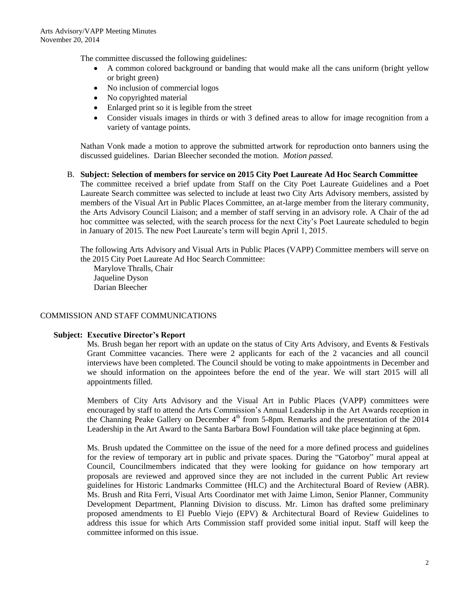The committee discussed the following guidelines:

- A common colored background or banding that would make all the cans uniform (bright yellow or bright green)
- No inclusion of commercial logos
- No copyrighted material
- Enlarged print so it is legible from the street
- Consider visuals images in thirds or with 3 defined areas to allow for image recognition from a variety of vantage points.

Nathan Vonk made a motion to approve the submitted artwork for reproduction onto banners using the discussed guidelines. Darian Bleecher seconded the motion. *Motion passed.*

#### B. **Subject: Selection of members for service on 2015 City Poet Laureate Ad Hoc Search Committee**

The committee received a brief update from Staff on the City Poet Laureate Guidelines and a Poet Laureate Search committee was selected to include at least two City Arts Advisory members, assisted by members of the Visual Art in Public Places Committee, an at-large member from the literary community, the Arts Advisory Council Liaison; and a member of staff serving in an advisory role. A Chair of the ad hoc committee was selected, with the search process for the next City's Poet Laureate scheduled to begin in January of 2015. The new Poet Laureate's term will begin April 1, 2015.

The following Arts Advisory and Visual Arts in Public Places (VAPP) Committee members will serve on the 2015 City Poet Laureate Ad Hoc Search Committee:

Marylove Thralls, Chair Jaqueline Dyson Darian Bleecher

### COMMISSION AND STAFF COMMUNICATIONS

#### **Subject: Executive Director's Report**

Ms. Brush began her report with an update on the status of City Arts Advisory, and Events & Festivals Grant Committee vacancies. There were 2 applicants for each of the 2 vacancies and all council interviews have been completed. The Council should be voting to make appointments in December and we should information on the appointees before the end of the year. We will start 2015 will all appointments filled.

Members of City Arts Advisory and the Visual Art in Public Places (VAPP) committees were encouraged by staff to attend the Arts Commission's Annual Leadership in the Art Awards reception in the Channing Peake Gallery on December  $4<sup>th</sup>$  from 5-8pm. Remarks and the presentation of the 2014 Leadership in the Art Award to the Santa Barbara Bowl Foundation will take place beginning at 6pm.

Ms. Brush updated the Committee on the issue of the need for a more defined process and guidelines for the review of temporary art in public and private spaces. During the "Gatorboy" mural appeal at Council, Councilmembers indicated that they were looking for guidance on how temporary art proposals are reviewed and approved since they are not included in the current Public Art review guidelines for Historic Landmarks Committee (HLC) and the Architectural Board of Review (ABR). Ms. Brush and Rita Ferri, Visual Arts Coordinator met with Jaime Limon, Senior Planner, Community Development Department, Planning Division to discuss. Mr. Limon has drafted some preliminary proposed amendments to El Pueblo Viejo (EPV) & Architectural Board of Review Guidelines to address this issue for which Arts Commission staff provided some initial input. Staff will keep the committee informed on this issue.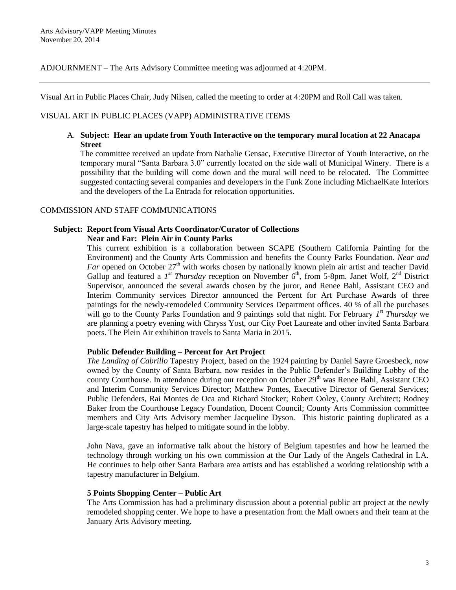ADJOURNMENT – The Arts Advisory Committee meeting was adjourned at 4:20PM.

Visual Art in Public Places Chair, Judy Nilsen, called the meeting to order at 4:20PM and Roll Call was taken.

### VISUAL ART IN PUBLIC PLACES (VAPP) ADMINISTRATIVE ITEMS

### A. **Subject: Hear an update from Youth Interactive on the temporary mural location at 22 Anacapa Street**

The committee received an update from Nathalie Gensac, Executive Director of Youth Interactive, on the temporary mural "Santa Barbara 3.0" currently located on the side wall of Municipal Winery. There is a possibility that the building will come down and the mural will need to be relocated. The Committee suggested contacting several companies and developers in the Funk Zone including MichaelKate Interiors and the developers of the La Entrada for relocation opportunities.

#### COMMISSION AND STAFF COMMUNICATIONS

### **Subject: Report from Visual Arts Coordinator/Curator of Collections Near and Far: Plein Air in County Parks**

This current exhibition is a collaboration between SCAPE (Southern California Painting for the Environment) and the County Arts Commission and benefits the County Parks Foundation. *Near and Far* opened on October  $27<sup>th</sup>$  with works chosen by nationally known plein air artist and teacher David Gallup and featured a  $I^{st}$  *Thursday* reception on November  $6^{th}$ , from 5-8pm. Janet Wolf,  $2^{nd}$  District Supervisor, announced the several awards chosen by the juror, and Renee Bahl, Assistant CEO and Interim Community services Director announced the Percent for Art Purchase Awards of three paintings for the newly-remodeled Community Services Department offices. 40 % of all the purchases will go to the County Parks Foundation and 9 paintings sold that night. For February 1<sup>st</sup> Thursday we are planning a poetry evening with Chryss Yost, our City Poet Laureate and other invited Santa Barbara poets. The Plein Air exhibition travels to Santa Maria in 2015.

### **Public Defender Building – Percent for Art Project**

*The Landing of Cabrillo* Tapestry Project, based on the 1924 painting by Daniel Sayre Groesbeck, now owned by the County of Santa Barbara, now resides in the Public Defender's Building Lobby of the county Courthouse. In attendance during our reception on October 29<sup>th</sup> was Renee Bahl, Assistant CEO and Interim Community Services Director; Matthew Pontes, Executive Director of General Services; Public Defenders, Rai Montes de Oca and Richard Stocker; Robert Ooley, County Architect; Rodney Baker from the Courthouse Legacy Foundation, Docent Council; County Arts Commission committee members and City Arts Advisory member Jacqueline Dyson. This historic painting duplicated as a large-scale tapestry has helped to mitigate sound in the lobby.

John Nava, gave an informative talk about the history of Belgium tapestries and how he learned the technology through working on his own commission at the Our Lady of the Angels Cathedral in LA. He continues to help other Santa Barbara area artists and has established a working relationship with a tapestry manufacturer in Belgium.

### **5 Points Shopping Center – Public Art**

The Arts Commission has had a preliminary discussion about a potential public art project at the newly remodeled shopping center. We hope to have a presentation from the Mall owners and their team at the January Arts Advisory meeting.